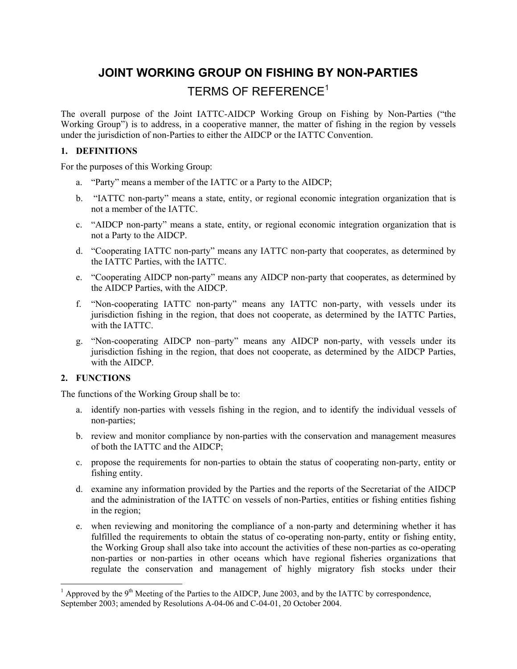# **JOINT WORKING GROUP ON FISHING BY NON-PARTIES**  TERMS OF REFERENCE $^1$

The overall purpose of the Joint IATTC-AIDCP Working Group on Fishing by Non-Parties ("the Working Group") is to address, in a cooperative manner, the matter of fishing in the region by vessels under the jurisdiction of non-Parties to either the AIDCP or the IATTC Convention.

# **1. DEFINITIONS**

For the purposes of this Working Group:

- a. "Party" means a member of the IATTC or a Party to the AIDCP;
- b. "IATTC non-party" means a state, entity, or regional economic integration organization that is not a member of the IATTC.
- c. "AIDCP non-party" means a state, entity, or regional economic integration organization that is not a Party to the AIDCP.
- d. "Cooperating IATTC non-party" means any IATTC non-party that cooperates, as determined by the IATTC Parties, with the IATTC.
- e. "Cooperating AIDCP non-party" means any AIDCP non-party that cooperates, as determined by the AIDCP Parties, with the AIDCP.
- f. "Non-cooperating IATTC non-party" means any IATTC non-party, with vessels under its jurisdiction fishing in the region, that does not cooperate, as determined by the IATTC Parties, with the IATTC.
- g. "Non-cooperating AIDCP non–party" means any AIDCP non-party, with vessels under its jurisdiction fishing in the region, that does not cooperate, as determined by the AIDCP Parties, with the AIDCP.

### **2. FUNCTIONS**

The functions of the Working Group shall be to:

- a. identify non-parties with vessels fishing in the region, and to identify the individual vessels of non-parties;
- b. review and monitor compliance by non-parties with the conservation and management measures of both the IATTC and the AIDCP;
- c. propose the requirements for non-parties to obtain the status of cooperating non-party, entity or fishing entity.
- d. examine any information provided by the Parties and the reports of the Secretariat of the AIDCP and the administration of the IATTC on vessels of non-Parties, entities or fishing entities fishing in the region;
- e. when reviewing and monitoring the compliance of a non-party and determining whether it has fulfilled the requirements to obtain the status of co-operating non-party, entity or fishing entity, the Working Group shall also take into account the activities of these non-parties as co-operating non-parties or non-parties in other oceans which have regional fisheries organizations that regulate the conservation and management of highly migratory fish stocks under their

 $\frac{1}{1}$  Approved by the 9<sup>th</sup> Meeting of the Parties to the AIDCP, June 2003, and by the IATTC by correspondence, September 2003; amended by Resolutions A-04-06 and C-04-01, 20 October 2004.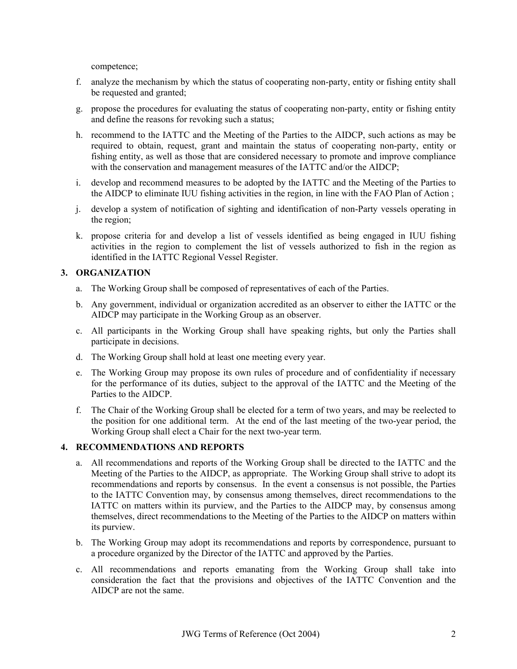competence;

- f. analyze the mechanism by which the status of cooperating non-party, entity or fishing entity shall be requested and granted;
- g. propose the procedures for evaluating the status of cooperating non-party, entity or fishing entity and define the reasons for revoking such a status;
- h. recommend to the IATTC and the Meeting of the Parties to the AIDCP, such actions as may be required to obtain, request, grant and maintain the status of cooperating non-party, entity or fishing entity, as well as those that are considered necessary to promote and improve compliance with the conservation and management measures of the IATTC and/or the AIDCP;
- i. develop and recommend measures to be adopted by the IATTC and the Meeting of the Parties to the AIDCP to eliminate IUU fishing activities in the region, in line with the FAO Plan of Action ;
- j. develop a system of notification of sighting and identification of non-Party vessels operating in the region;
- k. propose criteria for and develop a list of vessels identified as being engaged in IUU fishing activities in the region to complement the list of vessels authorized to fish in the region as identified in the IATTC Regional Vessel Register.

## **3. ORGANIZATION**

- a. The Working Group shall be composed of representatives of each of the Parties.
- b. Any government, individual or organization accredited as an observer to either the IATTC or the AIDCP may participate in the Working Group as an observer.
- c. All participants in the Working Group shall have speaking rights, but only the Parties shall participate in decisions.
- d. The Working Group shall hold at least one meeting every year.
- e. The Working Group may propose its own rules of procedure and of confidentiality if necessary for the performance of its duties, subject to the approval of the IATTC and the Meeting of the Parties to the AIDCP.
- f. The Chair of the Working Group shall be elected for a term of two years, and may be reelected to the position for one additional term. At the end of the last meeting of the two-year period, the Working Group shall elect a Chair for the next two-year term.

### **4. RECOMMENDATIONS AND REPORTS**

- a. All recommendations and reports of the Working Group shall be directed to the IATTC and the Meeting of the Parties to the AIDCP, as appropriate. The Working Group shall strive to adopt its recommendations and reports by consensus. In the event a consensus is not possible, the Parties to the IATTC Convention may, by consensus among themselves, direct recommendations to the IATTC on matters within its purview, and the Parties to the AIDCP may, by consensus among themselves, direct recommendations to the Meeting of the Parties to the AIDCP on matters within its purview.
- b. The Working Group may adopt its recommendations and reports by correspondence, pursuant to a procedure organized by the Director of the IATTC and approved by the Parties.
- c. All recommendations and reports emanating from the Working Group shall take into consideration the fact that the provisions and objectives of the IATTC Convention and the AIDCP are not the same.